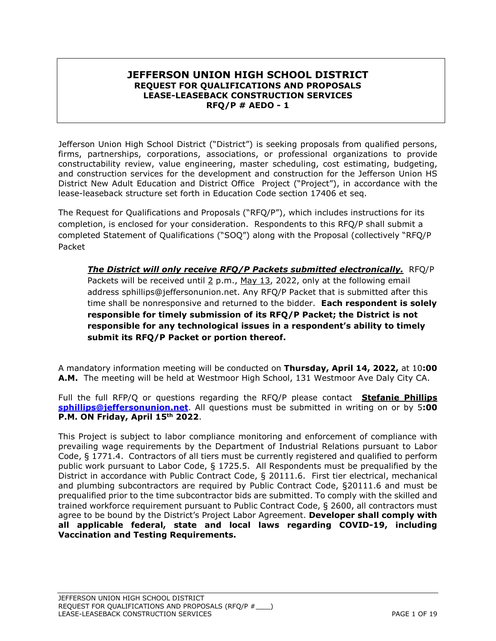### **JEFFERSON UNION HIGH SCHOOL DISTRICT REQUEST FOR QUALIFICATIONS AND PROPOSALS LEASE-LEASEBACK CONSTRUCTION SERVICES RFQ/P # AEDO - 1**

Jefferson Union High School District ("District") is seeking proposals from qualified persons, firms, partnerships, corporations, associations, or professional organizations to provide constructability review, value engineering, master scheduling, cost estimating, budgeting, and construction services for the development and construction for the Jefferson Union HS District New Adult Education and District Office Project ("Project"), in accordance with the lease-leaseback structure set forth in Education Code section 17406 et seq.

The Request for Qualifications and Proposals ("RFQ/P"), which includes instructions for its completion, is enclosed for your consideration. Respondents to this RFQ/P shall submit a completed Statement of Qualifications ("SOQ") along with the Proposal (collectively "RFQ/P Packet

*The District will only receive RFQ/P Packets submitted electronically.*RFQ/P Packets will be received until  $2$  p.m., May 13, 2022, only at the following email address sphillips@jeffersonunion.net. Any RFQ/P Packet that is submitted after this time shall be nonresponsive and returned to the bidder. **Each respondent is solely responsible for timely submission of its RFQ/P Packet; the District is not responsible for any technological issues in a respondent's ability to timely submit its RFQ/P Packet or portion thereof.**

A mandatory information meeting will be conducted on **Thursday, April 14, 2022,** at 10**:00 A.M.** The meeting will be held at Westmoor High School, 131 Westmoor Ave Daly City CA.

Full the full RFP/Q or questions regarding the RFQ/P please contact **Stefanie Phillips [sphillips@jeffersonunion.net](mailto:sphillips@jeffersonunion.net)**. All questions must be submitted in writing on or by 5**:00 P.M. ON Friday, April 15th 2022**.

This Project is subject to labor compliance monitoring and enforcement of compliance with prevailing wage requirements by the Department of Industrial Relations pursuant to Labor Code, § 1771.4. Contractors of all tiers must be currently registered and qualified to perform public work pursuant to Labor Code, § 1725.5. All Respondents must be prequalified by the District in accordance with Public Contract Code, § 20111.6. First tier electrical, mechanical and plumbing subcontractors are required by Public Contract Code, §20111.6 and must be prequalified prior to the time subcontractor bids are submitted. To comply with the skilled and trained workforce requirement pursuant to Public Contract Code, § 2600, all contractors must agree to be bound by the District's Project Labor Agreement. **Developer shall comply with all applicable federal, state and local laws regarding COVID-19, including Vaccination and Testing Requirements.**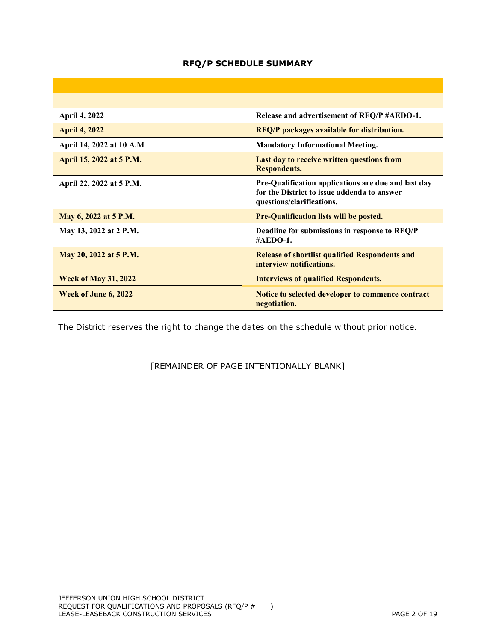### **RFQ/P SCHEDULE SUMMARY**

| <b>April 4, 2022</b>        | Release and advertisement of RFQ/P #AEDO-1.                                                                                     |
|-----------------------------|---------------------------------------------------------------------------------------------------------------------------------|
| <b>April 4, 2022</b>        | <b>RFQ/P</b> packages available for distribution.                                                                               |
| April 14, 2022 at 10 A.M    | <b>Mandatory Informational Meeting.</b>                                                                                         |
| April 15, 2022 at 5 P.M.    | Last day to receive written questions from<br><b>Respondents.</b>                                                               |
| April 22, 2022 at 5 P.M.    | Pre-Qualification applications are due and last day<br>for the District to issue addenda to answer<br>questions/clarifications. |
| May 6, 2022 at 5 P.M.       | <b>Pre-Qualification lists will be posted.</b>                                                                                  |
| May 13, 2022 at 2 P.M.      | Deadline for submissions in response to RFQ/P<br>#AEDO-1.                                                                       |
| May 20, 2022 at 5 P.M.      | <b>Release of shortlist qualified Respondents and</b><br>interview notifications.                                               |
| <b>Week of May 31, 2022</b> | <b>Interviews of qualified Respondents.</b>                                                                                     |
| Week of June 6, 2022        | Notice to selected developer to commence contract<br>negotiation.                                                               |

The District reserves the right to change the dates on the schedule without prior notice.

[REMAINDER OF PAGE INTENTIONALLY BLANK]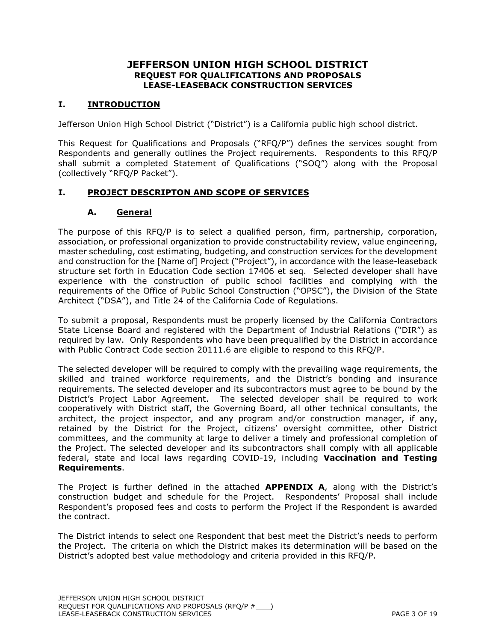### **JEFFERSON UNION HIGH SCHOOL DISTRICT REQUEST FOR QUALIFICATIONS AND PROPOSALS LEASE-LEASEBACK CONSTRUCTION SERVICES**

## **I. INTRODUCTION**

Jefferson Union High School District ("District") is a California public high school district.

This Request for Qualifications and Proposals ("RFQ/P") defines the services sought from Respondents and generally outlines the Project requirements. Respondents to this RFQ/P shall submit a completed Statement of Qualifications ("SOQ") along with the Proposal (collectively "RFQ/P Packet").

### **I. PROJECT DESCRIPTON AND SCOPE OF SERVICES**

#### **A. General**

The purpose of this RFQ/P is to select a qualified person, firm, partnership, corporation, association, or professional organization to provide constructability review, value engineering, master scheduling, cost estimating, budgeting, and construction services for the development and construction for the [Name of] Project ("Project"), in accordance with the lease-leaseback structure set forth in Education Code section 17406 et seq. Selected developer shall have experience with the construction of public school facilities and complying with the requirements of the Office of Public School Construction ("OPSC"), the Division of the State Architect ("DSA"), and Title 24 of the California Code of Regulations.

To submit a proposal, Respondents must be properly licensed by the California Contractors State License Board and registered with the Department of Industrial Relations ("DIR") as required by law. Only Respondents who have been prequalified by the District in accordance with Public Contract Code section 20111.6 are eligible to respond to this RFQ/P.

The selected developer will be required to comply with the prevailing wage requirements, the skilled and trained workforce requirements, and the District's bonding and insurance requirements. The selected developer and its subcontractors must agree to be bound by the District's Project Labor Agreement. The selected developer shall be required to work cooperatively with District staff, the Governing Board, all other technical consultants, the architect, the project inspector, and any program and/or construction manager, if any, retained by the District for the Project, citizens' oversight committee, other District committees, and the community at large to deliver a timely and professional completion of the Project. The selected developer and its subcontractors shall comply with all applicable federal, state and local laws regarding COVID-19, including **Vaccination and Testing Requirements**.

The Project is further defined in the attached **APPENDIX A**, along with the District's construction budget and schedule for the Project. Respondents' Proposal shall include Respondent's proposed fees and costs to perform the Project if the Respondent is awarded the contract.

The District intends to select one Respondent that best meet the District's needs to perform the Project. The criteria on which the District makes its determination will be based on the District's adopted best value methodology and criteria provided in this RFQ/P.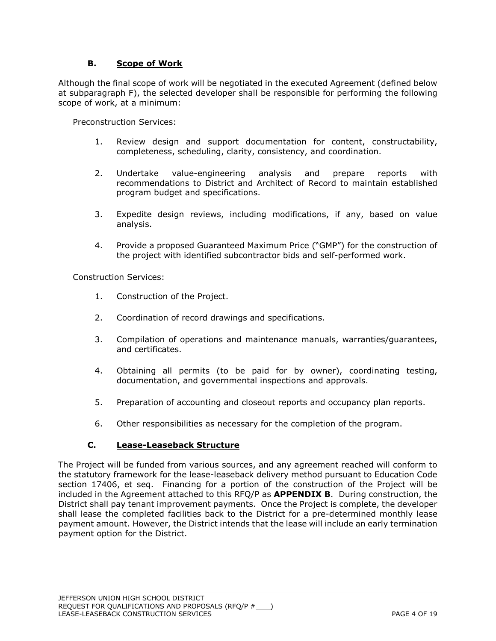### **B. Scope of Work**

Although the final scope of work will be negotiated in the executed Agreement (defined below at subparagraph F), the selected developer shall be responsible for performing the following scope of work, at a minimum:

Preconstruction Services:

- 1. Review design and support documentation for content, constructability, completeness, scheduling, clarity, consistency, and coordination.
- 2. Undertake value-engineering analysis and prepare reports with recommendations to District and Architect of Record to maintain established program budget and specifications.
- 3. Expedite design reviews, including modifications, if any, based on value analysis.
- 4. Provide a proposed Guaranteed Maximum Price ("GMP") for the construction of the project with identified subcontractor bids and self-performed work.

Construction Services:

- 1. Construction of the Project.
- 2. Coordination of record drawings and specifications.
- 3. Compilation of operations and maintenance manuals, warranties/guarantees, and certificates.
- 4. Obtaining all permits (to be paid for by owner), coordinating testing, documentation, and governmental inspections and approvals.
- 5. Preparation of accounting and closeout reports and occupancy plan reports.
- 6. Other responsibilities as necessary for the completion of the program.

#### **C. Lease-Leaseback Structure**

The Project will be funded from various sources, and any agreement reached will conform to the statutory framework for the lease-leaseback delivery method pursuant to Education Code section 17406, et seq. Financing for a portion of the construction of the Project will be included in the Agreement attached to this RFQ/P as **APPENDIX B**. During construction, the District shall pay tenant improvement payments. Once the Project is complete, the developer shall lease the completed facilities back to the District for a pre-determined monthly lease payment amount. However, the District intends that the lease will include an early termination payment option for the District.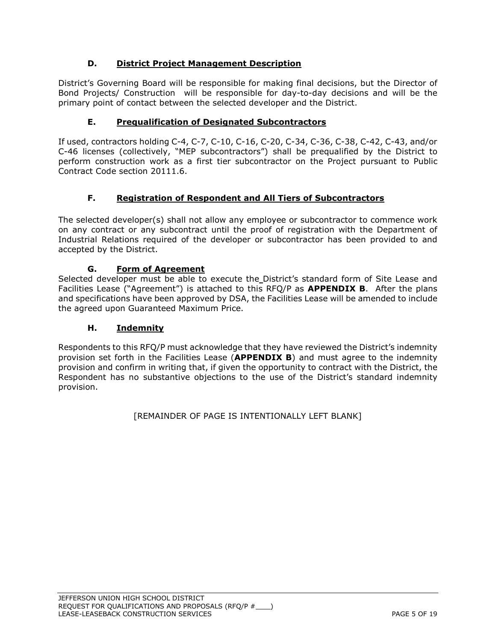## **D. District Project Management Description**

District's Governing Board will be responsible for making final decisions, but the Director of Bond Projects/ Construction will be responsible for day-to-day decisions and will be the primary point of contact between the selected developer and the District.

## **E. Prequalification of Designated Subcontractors**

If used, contractors holding C-4, C-7, C-10, C-16, C-20, C-34, C-36, C-38, C-42, C-43, and/or C-46 licenses (collectively, "MEP subcontractors") shall be prequalified by the District to perform construction work as a first tier subcontractor on the Project pursuant to Public Contract Code section 20111.6.

## **F. Registration of Respondent and All Tiers of Subcontractors**

The selected developer(s) shall not allow any employee or subcontractor to commence work on any contract or any subcontract until the proof of registration with the Department of Industrial Relations required of the developer or subcontractor has been provided to and accepted by the District.

## **G. Form of Agreement**

Selected developer must be able to execute the District's standard form of Site Lease and Facilities Lease ("Agreement") is attached to this RFQ/P as **APPENDIX B**. After the plans and specifications have been approved by DSA, the Facilities Lease will be amended to include the agreed upon Guaranteed Maximum Price.

## **H. Indemnity**

Respondents to this RFQ/P must acknowledge that they have reviewed the District's indemnity provision set forth in the Facilities Lease (**APPENDIX B**) and must agree to the indemnity provision and confirm in writing that, if given the opportunity to contract with the District, the Respondent has no substantive objections to the use of the District's standard indemnity provision.

[REMAINDER OF PAGE IS INTENTIONALLY LEFT BLANK]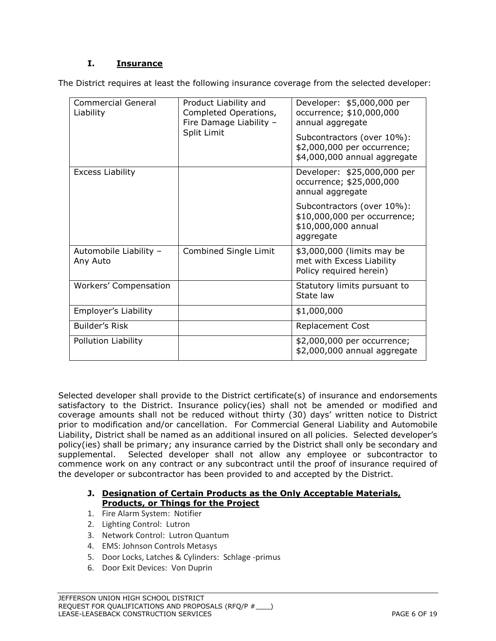## **I. Insurance**

The District requires at least the following insurance coverage from the selected developer:

| <b>Commercial General</b><br>Liability | Product Liability and<br>Completed Operations,<br>Fire Damage Liability - | Developer: \$5,000,000 per<br>occurrence; \$10,000,000<br>annual aggregate                     |  |  |
|----------------------------------------|---------------------------------------------------------------------------|------------------------------------------------------------------------------------------------|--|--|
|                                        | Split Limit                                                               | Subcontractors (over 10%):<br>\$2,000,000 per occurrence;<br>\$4,000,000 annual aggregate      |  |  |
| Excess Liability                       |                                                                           | Developer: \$25,000,000 per<br>occurrence; \$25,000,000<br>annual aggregate                    |  |  |
|                                        |                                                                           | Subcontractors (over 10%):<br>\$10,000,000 per occurrence;<br>\$10,000,000 annual<br>aggregate |  |  |
| Automobile Liability -<br>Any Auto     | Combined Single Limit                                                     | \$3,000,000 (limits may be<br>met with Excess Liability<br>Policy required herein)             |  |  |
| Workers' Compensation                  |                                                                           | Statutory limits pursuant to<br>State law                                                      |  |  |
| Employer's Liability                   |                                                                           | \$1,000,000                                                                                    |  |  |
| Builder's Risk                         |                                                                           | <b>Replacement Cost</b>                                                                        |  |  |
| Pollution Liability                    |                                                                           | \$2,000,000 per occurrence;<br>\$2,000,000 annual aggregate                                    |  |  |

Selected developer shall provide to the District certificate(s) of insurance and endorsements satisfactory to the District. Insurance policy(ies) shall not be amended or modified and coverage amounts shall not be reduced without thirty (30) days' written notice to District prior to modification and/or cancellation. For Commercial General Liability and Automobile Liability, District shall be named as an additional insured on all policies. Selected developer's policy(ies) shall be primary; any insurance carried by the District shall only be secondary and supplemental. Selected developer shall not allow any employee or subcontractor to commence work on any contract or any subcontract until the proof of insurance required of the developer or subcontractor has been provided to and accepted by the District.

#### **J. Designation of Certain Products as the Only Acceptable Materials, Products, or Things for the Project**

- 1. Fire Alarm System: Notifier
- 2. Lighting Control: Lutron
- 3. Network Control: Lutron Quantum
- 4. EMS: Johnson Controls Metasys
- 5. Door Locks, Latches & Cylinders: Schlage -primus
- 6. Door Exit Devices: Von Duprin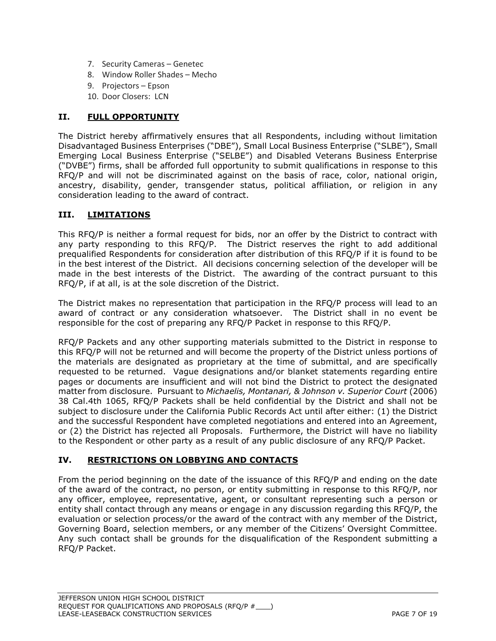- 7. Security Cameras Genetec
- 8. Window Roller Shades Mecho
- 9. Projectors Epson
- 10. Door Closers: LCN

### **II. FULL OPPORTUNITY**

The District hereby affirmatively ensures that all Respondents, including without limitation Disadvantaged Business Enterprises ("DBE"), Small Local Business Enterprise ("SLBE"), Small Emerging Local Business Enterprise ("SELBE") and Disabled Veterans Business Enterprise ("DVBE") firms, shall be afforded full opportunity to submit qualifications in response to this RFQ/P and will not be discriminated against on the basis of race, color, national origin, ancestry, disability, gender, transgender status, political affiliation, or religion in any consideration leading to the award of contract.

### **III. LIMITATIONS**

This RFQ/P is neither a formal request for bids, nor an offer by the District to contract with any party responding to this RFQ/P. The District reserves the right to add additional prequalified Respondents for consideration after distribution of this RFQ/P if it is found to be in the best interest of the District. All decisions concerning selection of the developer will be made in the best interests of the District. The awarding of the contract pursuant to this RFQ/P, if at all, is at the sole discretion of the District.

The District makes no representation that participation in the RFQ/P process will lead to an award of contract or any consideration whatsoever. The District shall in no event be responsible for the cost of preparing any RFQ/P Packet in response to this RFQ/P.

RFQ/P Packets and any other supporting materials submitted to the District in response to this RFQ/P will not be returned and will become the property of the District unless portions of the materials are designated as proprietary at the time of submittal, and are specifically requested to be returned. Vague designations and/or blanket statements regarding entire pages or documents are insufficient and will not bind the District to protect the designated matter from disclosure. Pursuant to *Michaelis, Montanari, & Johnson v. Superior Court* (2006) 38 Cal.4th 1065, RFQ/P Packets shall be held confidential by the District and shall not be subject to disclosure under the California Public Records Act until after either: (1) the District and the successful Respondent have completed negotiations and entered into an Agreement, or (2) the District has rejected all Proposals. Furthermore, the District will have no liability to the Respondent or other party as a result of any public disclosure of any RFQ/P Packet.

### **IV. RESTRICTIONS ON LOBBYING AND CONTACTS**

From the period beginning on the date of the issuance of this RFQ/P and ending on the date of the award of the contract, no person, or entity submitting in response to this RFQ/P, nor any officer, employee, representative, agent, or consultant representing such a person or entity shall contact through any means or engage in any discussion regarding this RFQ/P, the evaluation or selection process/or the award of the contract with any member of the District, Governing Board, selection members, or any member of the Citizens' Oversight Committee. Any such contact shall be grounds for the disqualification of the Respondent submitting a RFQ/P Packet.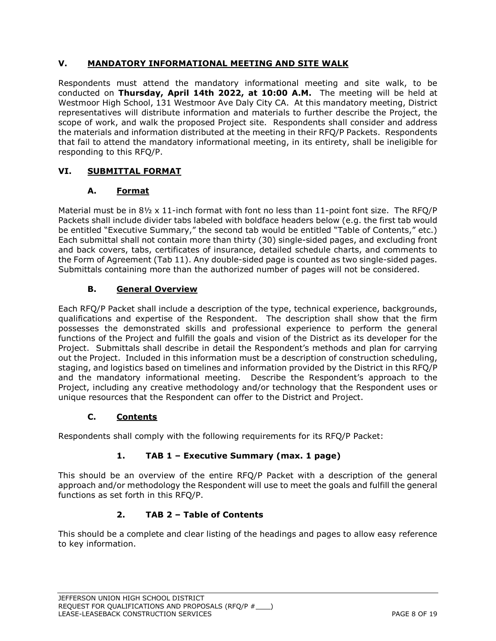### **V. MANDATORY INFORMATIONAL MEETING AND SITE WALK**

Respondents must attend the mandatory informational meeting and site walk, to be conducted on **Thursday, April 14th 2022, at 10:00 A.M.** The meeting will be held at Westmoor High School, 131 Westmoor Ave Daly City CA. At this mandatory meeting, District representatives will distribute information and materials to further describe the Project, the scope of work, and walk the proposed Project site. Respondents shall consider and address the materials and information distributed at the meeting in their RFQ/P Packets. Respondents that fail to attend the mandatory informational meeting, in its entirety, shall be ineligible for responding to this RFQ/P.

# **VI. SUBMITTAL FORMAT**

## **A. Format**

Material must be in  $8\frac{1}{2} \times 11$ -inch format with font no less than 11-point font size. The RFQ/P Packets shall include divider tabs labeled with boldface headers below (e.g. the first tab would be entitled "Executive Summary," the second tab would be entitled "Table of Contents," etc.) Each submittal shall not contain more than thirty (30) single-sided pages, and excluding front and back covers, tabs, certificates of insurance, detailed schedule charts, and comments to the Form of Agreement (Tab 11). Any double-sided page is counted as two single-sided pages. Submittals containing more than the authorized number of pages will not be considered.

## **B. General Overview**

Each RFQ/P Packet shall include a description of the type, technical experience, backgrounds, qualifications and expertise of the Respondent. The description shall show that the firm possesses the demonstrated skills and professional experience to perform the general functions of the Project and fulfill the goals and vision of the District as its developer for the Project. Submittals shall describe in detail the Respondent's methods and plan for carrying out the Project. Included in this information must be a description of construction scheduling, staging, and logistics based on timelines and information provided by the District in this RFQ/P and the mandatory informational meeting. Describe the Respondent's approach to the Project, including any creative methodology and/or technology that the Respondent uses or unique resources that the Respondent can offer to the District and Project.

## **C. Contents**

Respondents shall comply with the following requirements for its RFQ/P Packet:

# **1. TAB 1 – Executive Summary (max. 1 page)**

This should be an overview of the entire RFQ/P Packet with a description of the general approach and/or methodology the Respondent will use to meet the goals and fulfill the general functions as set forth in this RFQ/P.

## **2. TAB 2 – Table of Contents**

This should be a complete and clear listing of the headings and pages to allow easy reference to key information.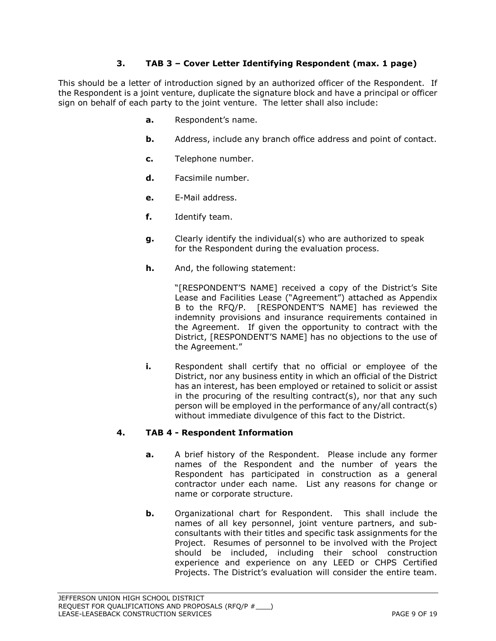### **3. TAB 3 – Cover Letter Identifying Respondent (max. 1 page)**

This should be a letter of introduction signed by an authorized officer of the Respondent. If the Respondent is a joint venture, duplicate the signature block and have a principal or officer sign on behalf of each party to the joint venture. The letter shall also include:

- **a.** Respondent's name.
- **b.** Address, include any branch office address and point of contact.
- **c.** Telephone number.
- **d.** Facsimile number.
- **e.** E-Mail address.
- **f.** Identify team.
- **g.** Clearly identify the individual(s) who are authorized to speak for the Respondent during the evaluation process.
- **h.** And, the following statement:

"[RESPONDENT'S NAME] received a copy of the District's Site Lease and Facilities Lease ("Agreement") attached as Appendix B to the RFQ/P. [RESPONDENT'S NAME] has reviewed the indemnity provisions and insurance requirements contained in the Agreement. If given the opportunity to contract with the District, [RESPONDENT'S NAME] has no objections to the use of the Agreement."

**i.** Respondent shall certify that no official or employee of the District, nor any business entity in which an official of the District has an interest, has been employed or retained to solicit or assist in the procuring of the resulting contract(s), nor that any such person will be employed in the performance of any/all contract(s) without immediate divulgence of this fact to the District.

#### **4. TAB 4 - Respondent Information**

- **a.** A brief history of the Respondent. Please include any former names of the Respondent and the number of years the Respondent has participated in construction as a general contractor under each name. List any reasons for change or name or corporate structure.
- **b.** Organizational chart for Respondent. This shall include the names of all key personnel, joint venture partners, and subconsultants with their titles and specific task assignments for the Project. Resumes of personnel to be involved with the Project should be included, including their school construction experience and experience on any LEED or CHPS Certified Projects. The District's evaluation will consider the entire team.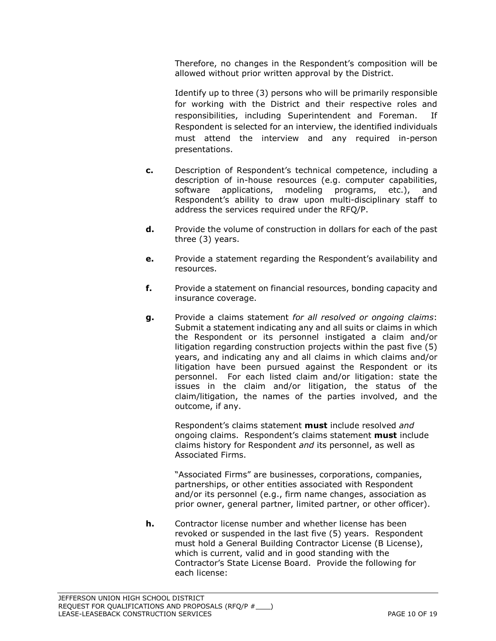Therefore, no changes in the Respondent's composition will be allowed without prior written approval by the District.

Identify up to three (3) persons who will be primarily responsible for working with the District and their respective roles and responsibilities, including Superintendent and Foreman. If Respondent is selected for an interview, the identified individuals must attend the interview and any required in-person presentations.

- **c.** Description of Respondent's technical competence, including a description of in-house resources (e.g. computer capabilities, software applications, modeling programs, etc.), and Respondent's ability to draw upon multi-disciplinary staff to address the services required under the RFQ/P.
- **d.** Provide the volume of construction in dollars for each of the past three (3) years.
- **e.** Provide a statement regarding the Respondent's availability and resources.
- **f.** Provide a statement on financial resources, bonding capacity and insurance coverage.
- **g.** Provide a claims statement *for all resolved or ongoing claims*: Submit a statement indicating any and all suits or claims in which the Respondent or its personnel instigated a claim and/or litigation regarding construction projects within the past five (5) years, and indicating any and all claims in which claims and/or litigation have been pursued against the Respondent or its personnel. For each listed claim and/or litigation: state the issues in the claim and/or litigation, the status of the claim/litigation, the names of the parties involved, and the outcome, if any.

Respondent's claims statement **must** include resolved *and* ongoing claims. Respondent's claims statement **must** include claims history for Respondent *and* its personnel, as well as Associated Firms.

"Associated Firms" are businesses, corporations, companies, partnerships, or other entities associated with Respondent and/or its personnel (e.g., firm name changes, association as prior owner, general partner, limited partner, or other officer).

**h.** Contractor license number and whether license has been revoked or suspended in the last five (5) years. Respondent must hold a General Building Contractor License (B License), which is current, valid and in good standing with the Contractor's State License Board. Provide the following for each license: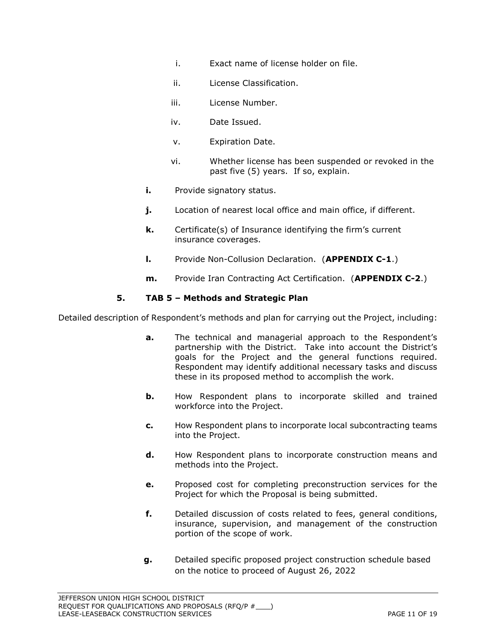- i. Exact name of license holder on file.
- ii. License Classification.
- iii. License Number.
- iv. Date Issued.
- v. Expiration Date.
- vi. Whether license has been suspended or revoked in the past five (5) years. If so, explain.
- **i.** Provide signatory status.
- **j.** Location of nearest local office and main office, if different.
- **k.** Certificate(s) of Insurance identifying the firm's current insurance coverages.
- **l.** Provide Non-Collusion Declaration. (**APPENDIX C-1**.)
- **m.** Provide Iran Contracting Act Certification. (**APPENDIX C-2**.)

#### **5. TAB 5 – Methods and Strategic Plan**

Detailed description of Respondent's methods and plan for carrying out the Project, including:

- **a.** The technical and managerial approach to the Respondent's partnership with the District. Take into account the District's goals for the Project and the general functions required. Respondent may identify additional necessary tasks and discuss these in its proposed method to accomplish the work.
- **b.** How Respondent plans to incorporate skilled and trained workforce into the Project.
- **c.** How Respondent plans to incorporate local subcontracting teams into the Project.
- **d.** How Respondent plans to incorporate construction means and methods into the Project.
- **e.** Proposed cost for completing preconstruction services for the Project for which the Proposal is being submitted.
- **f.** Detailed discussion of costs related to fees, general conditions, insurance, supervision, and management of the construction portion of the scope of work.
- **g.** Detailed specific proposed project construction schedule based on the notice to proceed of August 26, 2022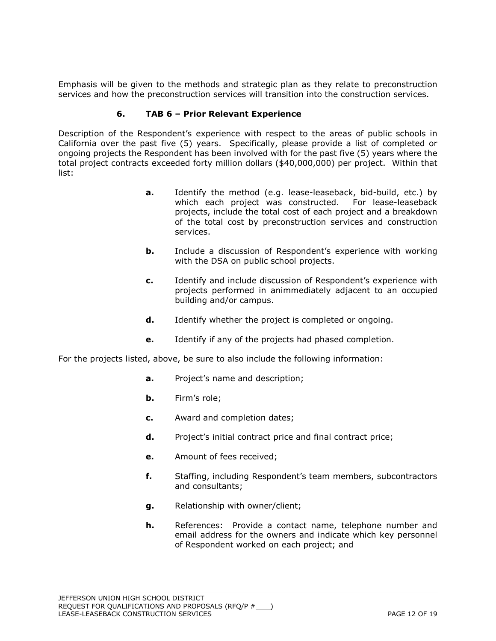Emphasis will be given to the methods and strategic plan as they relate to preconstruction services and how the preconstruction services will transition into the construction services.

#### **6. TAB 6 – Prior Relevant Experience**

Description of the Respondent's experience with respect to the areas of public schools in California over the past five (5) years. Specifically, please provide a list of completed or ongoing projects the Respondent has been involved with for the past five (5) years where the total project contracts exceeded forty million dollars (\$40,000,000) per project. Within that list:

- **a.** Identify the method (e.g. lease-leaseback, bid-build, etc.) by which each project was constructed. For lease-leaseback projects, include the total cost of each project and a breakdown of the total cost by preconstruction services and construction services.
- **b.** Include a discussion of Respondent's experience with working with the DSA on public school projects.
- **c.** Identify and include discussion of Respondent's experience with projects performed in animmediately adjacent to an occupied building and/or campus.
- **d.** Identify whether the project is completed or ongoing.
- **e.** Identify if any of the projects had phased completion.

For the projects listed, above, be sure to also include the following information:

- **a.** Project's name and description;
- **b.** Firm's role;
- **c.** Award and completion dates;
- **d.** Project's initial contract price and final contract price;
- **e.** Amount of fees received;
- **f.** Staffing, including Respondent's team members, subcontractors and consultants;
- **g.** Relationship with owner/client;
- **h.** References: Provide a contact name, telephone number and email address for the owners and indicate which key personnel of Respondent worked on each project; and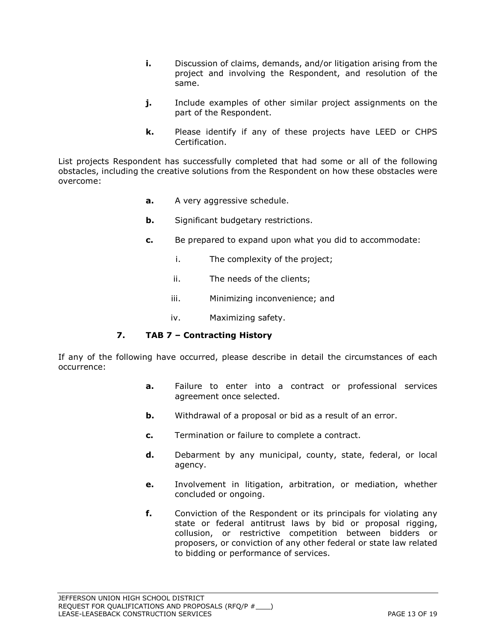- **i.** Discussion of claims, demands, and/or litigation arising from the project and involving the Respondent, and resolution of the same.
- **j.** Include examples of other similar project assignments on the part of the Respondent.
- **k.** Please identify if any of these projects have LEED or CHPS Certification.

List projects Respondent has successfully completed that had some or all of the following obstacles, including the creative solutions from the Respondent on how these obstacles were overcome:

- **a.** A very aggressive schedule.
- **b.** Significant budgetary restrictions.
- **c.** Be prepared to expand upon what you did to accommodate:
	- i. The complexity of the project;
	- ii. The needs of the clients;
	- iii. Minimizing inconvenience; and
	- iv. Maximizing safety.

### **7. TAB 7 – Contracting History**

If any of the following have occurred, please describe in detail the circumstances of each occurrence:

- **a.** Failure to enter into a contract or professional services agreement once selected.
- **b.** Withdrawal of a proposal or bid as a result of an error.
- **c.** Termination or failure to complete a contract.
- **d.** Debarment by any municipal, county, state, federal, or local agency.
- **e.** Involvement in litigation, arbitration, or mediation, whether concluded or ongoing.
- **f.** Conviction of the Respondent or its principals for violating any state or federal antitrust laws by bid or proposal rigging, collusion, or restrictive competition between bidders or proposers, or conviction of any other federal or state law related to bidding or performance of services.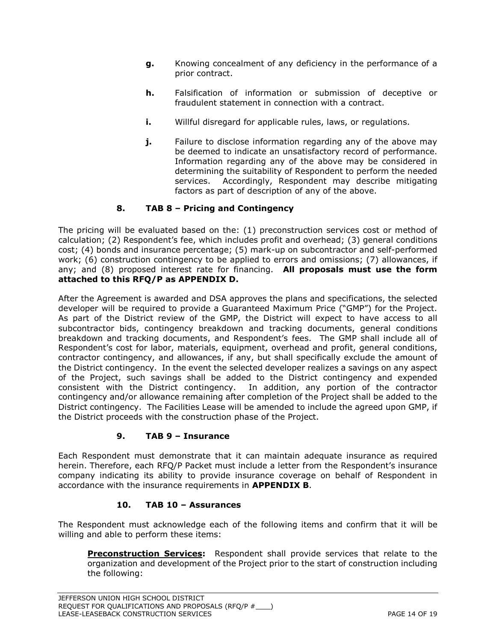- **g.** Knowing concealment of any deficiency in the performance of a prior contract.
- **h.** Falsification of information or submission of deceptive or fraudulent statement in connection with a contract.
- **i.** Willful disregard for applicable rules, laws, or regulations.
- **j.** Failure to disclose information regarding any of the above may be deemed to indicate an unsatisfactory record of performance. Information regarding any of the above may be considered in determining the suitability of Respondent to perform the needed services. Accordingly, Respondent may describe mitigating factors as part of description of any of the above.

### **8. TAB 8 – Pricing and Contingency**

The pricing will be evaluated based on the: (1) preconstruction services cost or method of calculation; (2) Respondent's fee, which includes profit and overhead; (3) general conditions cost; (4) bonds and insurance percentage; (5) mark-up on subcontractor and self-performed work; (6) construction contingency to be applied to errors and omissions; (7) allowances, if any; and (8) proposed interest rate for financing. **All proposals must use the form attached to this RFQ/P as APPENDIX D.**

After the Agreement is awarded and DSA approves the plans and specifications, the selected developer will be required to provide a Guaranteed Maximum Price ("GMP") for the Project. As part of the District review of the GMP, the District will expect to have access to all subcontractor bids, contingency breakdown and tracking documents, general conditions breakdown and tracking documents, and Respondent's fees. The GMP shall include all of Respondent's cost for labor, materials, equipment, overhead and profit, general conditions, contractor contingency, and allowances, if any, but shall specifically exclude the amount of the District contingency. In the event the selected developer realizes a savings on any aspect of the Project, such savings shall be added to the District contingency and expended consistent with the District contingency. In addition, any portion of the contractor contingency and/or allowance remaining after completion of the Project shall be added to the District contingency. The Facilities Lease will be amended to include the agreed upon GMP, if the District proceeds with the construction phase of the Project.

### **9. TAB 9 – Insurance**

Each Respondent must demonstrate that it can maintain adequate insurance as required herein. Therefore, each RFQ/P Packet must include a letter from the Respondent's insurance company indicating its ability to provide insurance coverage on behalf of Respondent in accordance with the insurance requirements in **APPENDIX B**.

### **10. TAB 10 – Assurances**

The Respondent must acknowledge each of the following items and confirm that it will be willing and able to perform these items:

**Preconstruction Services:** Respondent shall provide services that relate to the organization and development of the Project prior to the start of construction including the following: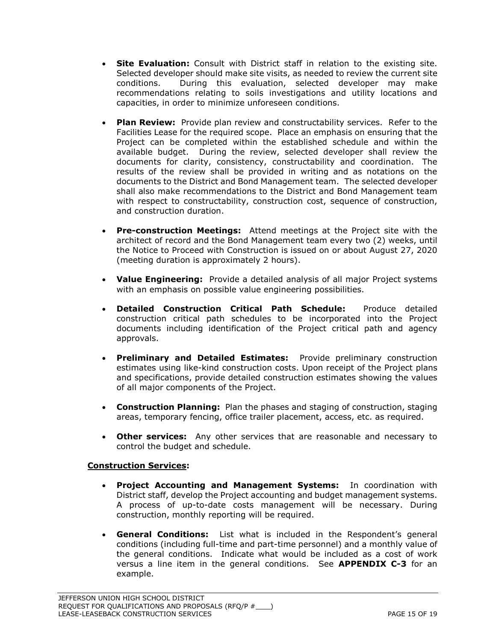- **Site Evaluation:** Consult with District staff in relation to the existing site. Selected developer should make site visits, as needed to review the current site conditions. During this evaluation, selected developer may make recommendations relating to soils investigations and utility locations and capacities, in order to minimize unforeseen conditions.
- **Plan Review:** Provide plan review and constructability services. Refer to the Facilities Lease for the required scope. Place an emphasis on ensuring that the Project can be completed within the established schedule and within the available budget. During the review, selected developer shall review the documents for clarity, consistency, constructability and coordination. The results of the review shall be provided in writing and as notations on the documents to the District and Bond Management team. The selected developer shall also make recommendations to the District and Bond Management team with respect to constructability, construction cost, sequence of construction, and construction duration.
- **Pre-construction Meetings:** Attend meetings at the Project site with the architect of record and the Bond Management team every two (2) weeks, until the Notice to Proceed with Construction is issued on or about August 27, 2020 (meeting duration is approximately 2 hours).
- **Value Engineering:** Provide a detailed analysis of all major Project systems with an emphasis on possible value engineering possibilities.
- **Detailed Construction Critical Path Schedule:** Produce detailed construction critical path schedules to be incorporated into the Project documents including identification of the Project critical path and agency approvals.
- **Preliminary and Detailed Estimates:** Provide preliminary construction estimates using like-kind construction costs. Upon receipt of the Project plans and specifications, provide detailed construction estimates showing the values of all major components of the Project.
- **Construction Planning:** Plan the phases and staging of construction, staging areas, temporary fencing, office trailer placement, access, etc. as required.
- **Other services:** Any other services that are reasonable and necessary to control the budget and schedule.

### **Construction Services:**

- **Project Accounting and Management Systems:** In coordination with District staff, develop the Project accounting and budget management systems. A process of up-to-date costs management will be necessary. During construction, monthly reporting will be required.
- **General Conditions:** List what is included in the Respondent's general conditions (including full-time and part-time personnel) and a monthly value of the general conditions. Indicate what would be included as a cost of work versus a line item in the general conditions. See **APPENDIX C-3** for an example.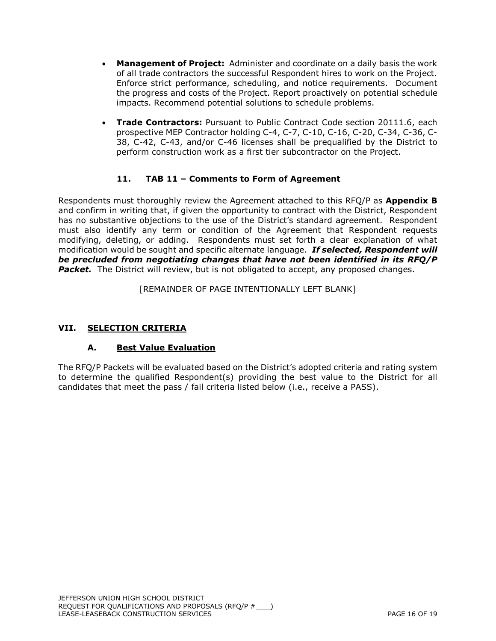- **Management of Project:** Administer and coordinate on a daily basis the work of all trade contractors the successful Respondent hires to work on the Project. Enforce strict performance, scheduling, and notice requirements. Document the progress and costs of the Project. Report proactively on potential schedule impacts. Recommend potential solutions to schedule problems.
- **Trade Contractors:** Pursuant to Public Contract Code section 20111.6, each prospective MEP Contractor holding C-4, C-7, C-10, C-16, C-20, C-34, C-36, C-38, C-42, C-43, and/or C-46 licenses shall be prequalified by the District to perform construction work as a first tier subcontractor on the Project.

## **11. TAB 11 – Comments to Form of Agreement**

Respondents must thoroughly review the Agreement attached to this RFQ/P as **Appendix B** and confirm in writing that, if given the opportunity to contract with the District, Respondent has no substantive objections to the use of the District's standard agreement. Respondent must also identify any term or condition of the Agreement that Respondent requests modifying, deleting, or adding. Respondents must set forth a clear explanation of what modification would be sought and specific alternate language. *If selected, Respondent will be precluded from negotiating changes that have not been identified in its RFQ/P*  **Packet.** The District will review, but is not obligated to accept, any proposed changes.

[REMAINDER OF PAGE INTENTIONALLY LEFT BLANK]

## **VII. SELECTION CRITERIA**

## **A. Best Value Evaluation**

The RFQ/P Packets will be evaluated based on the District's adopted criteria and rating system to determine the qualified Respondent(s) providing the best value to the District for all candidates that meet the pass / fail criteria listed below (i.e., receive a PASS).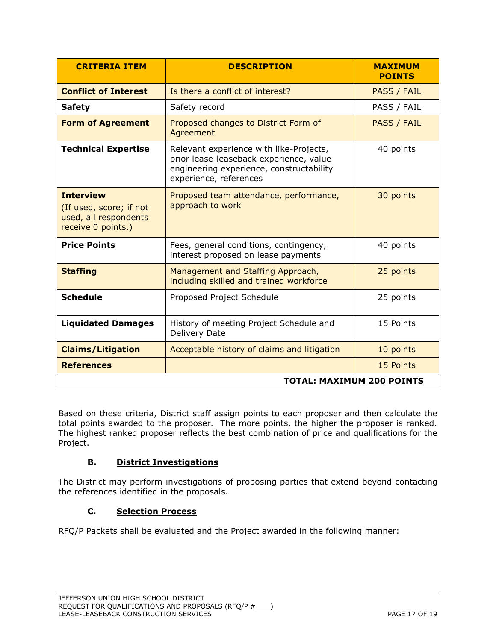| <b>CRITERIA ITEM</b>                                                                       | <b>DESCRIPTION</b>                                                                                                                                        | <b>MAXIMUM</b><br><b>POINTS</b> |  |  |
|--------------------------------------------------------------------------------------------|-----------------------------------------------------------------------------------------------------------------------------------------------------------|---------------------------------|--|--|
| <b>Conflict of Interest</b>                                                                | Is there a conflict of interest?                                                                                                                          | <b>PASS / FAIL</b>              |  |  |
| <b>Safety</b>                                                                              | Safety record                                                                                                                                             | PASS / FAIL                     |  |  |
| <b>Form of Agreement</b>                                                                   | Proposed changes to District Form of<br>Agreement                                                                                                         | PASS / FAIL                     |  |  |
| <b>Technical Expertise</b>                                                                 | Relevant experience with like-Projects,<br>prior lease-leaseback experience, value-<br>engineering experience, constructability<br>experience, references | 40 points                       |  |  |
| <b>Interview</b><br>(If used, score; if not<br>used, all respondents<br>receive 0 points.) | Proposed team attendance, performance,<br>approach to work                                                                                                | 30 points                       |  |  |
| <b>Price Points</b>                                                                        | Fees, general conditions, contingency,<br>interest proposed on lease payments                                                                             | 40 points                       |  |  |
| <b>Staffing</b>                                                                            | Management and Staffing Approach,<br>including skilled and trained workforce                                                                              | 25 points                       |  |  |
| <b>Schedule</b>                                                                            | Proposed Project Schedule                                                                                                                                 | 25 points                       |  |  |
| <b>Liquidated Damages</b>                                                                  | History of meeting Project Schedule and<br>Delivery Date                                                                                                  | 15 Points                       |  |  |
| <b>Claims/Litigation</b>                                                                   | Acceptable history of claims and litigation                                                                                                               | 10 points                       |  |  |
| <b>References</b>                                                                          |                                                                                                                                                           | 15 Points                       |  |  |
| <b>TOTAL: MAXIMUM 200 POINTS</b>                                                           |                                                                                                                                                           |                                 |  |  |

Based on these criteria, District staff assign points to each proposer and then calculate the total points awarded to the proposer. The more points, the higher the proposer is ranked. The highest ranked proposer reflects the best combination of price and qualifications for the Project.

## **B. District Investigations**

The District may perform investigations of proposing parties that extend beyond contacting the references identified in the proposals.

### **C. Selection Process**

RFQ/P Packets shall be evaluated and the Project awarded in the following manner: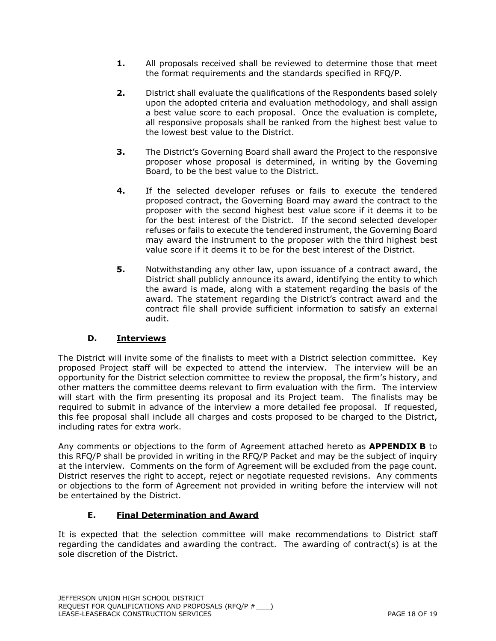- **1.** All proposals received shall be reviewed to determine those that meet the format requirements and the standards specified in RFQ/P.
- **2.** District shall evaluate the qualifications of the Respondents based solely upon the adopted criteria and evaluation methodology, and shall assign a best value score to each proposal. Once the evaluation is complete, all responsive proposals shall be ranked from the highest best value to the lowest best value to the District.
- **3.** The District's Governing Board shall award the Project to the responsive proposer whose proposal is determined, in writing by the Governing Board, to be the best value to the District.
- **4.** If the selected developer refuses or fails to execute the tendered proposed contract, the Governing Board may award the contract to the proposer with the second highest best value score if it deems it to be for the best interest of the District. If the second selected developer refuses or fails to execute the tendered instrument, the Governing Board may award the instrument to the proposer with the third highest best value score if it deems it to be for the best interest of the District.
- **5.** Notwithstanding any other law, upon issuance of a contract award, the District shall publicly announce its award, identifying the entity to which the award is made, along with a statement regarding the basis of the award. The statement regarding the District's contract award and the contract file shall provide sufficient information to satisfy an external audit.

## **D. Interviews**

The District will invite some of the finalists to meet with a District selection committee. Key proposed Project staff will be expected to attend the interview. The interview will be an opportunity for the District selection committee to review the proposal, the firm's history, and other matters the committee deems relevant to firm evaluation with the firm. The interview will start with the firm presenting its proposal and its Project team. The finalists may be required to submit in advance of the interview a more detailed fee proposal. If requested, this fee proposal shall include all charges and costs proposed to be charged to the District, including rates for extra work.

Any comments or objections to the form of Agreement attached hereto as **APPENDIX B** to this RFQ/P shall be provided in writing in the RFQ/P Packet and may be the subject of inquiry at the interview. Comments on the form of Agreement will be excluded from the page count. District reserves the right to accept, reject or negotiate requested revisions. Any comments or objections to the form of Agreement not provided in writing before the interview will not be entertained by the District.

### **E. Final Determination and Award**

It is expected that the selection committee will make recommendations to District staff regarding the candidates and awarding the contract. The awarding of contract(s) is at the sole discretion of the District.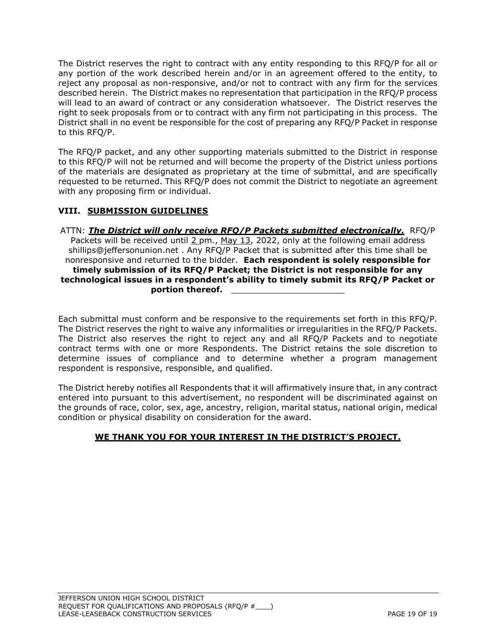The District reserves the right to contract with any entity responding to this RFQ/P for all or any portion of the work described herein and/or in an agreement offered to the entity, to reject any proposal as non-responsive, and/or not to contract with any firm for the services described herein. The District makes no representation that participation in the RFQ/P process will lead to an award of contract or any consideration whatsoever. The District reserves the right to seek proposals from or to contract with any firm not participating in this process. The District shall in no event be responsible for the cost of preparing any RFQ/P Packet in response to this RFQ/P.

The RFQ/P packet, and any other supporting materials submitted to the District in response to this RFQ/P will not be returned and will become the property of the District unless portions of the materials are designated as proprietary at the time of submittal, and are specifically requested to be returned. This RFQ/P does not commit the District to negotiate an agreement with any proposing firm or individual.

### **VIII. SUBMISSION GUIDELINES**

ATTN: *The District will only receive RFQ/P Packets submitted electronically.*RFQ/P Packets will be received until  $2$  pm., May 13, 2022, only at the following email address shillips@jeffersonunion.net . Any RFQ/P Packet that is submitted after this time shall be nonresponsive and returned to the bidder. **Each respondent is solely responsible for timely submission of its RFQ/P Packet; the District is not responsible for any technological issues in a respondent's ability to timely submit its RFQ/P Packet or**  portion thereof.

Each submittal must conform and be responsive to the requirements set forth in this RFQ/P. The District reserves the right to waive any informalities or irregularities in the RFQ/P Packets. The District also reserves the right to reject any and all RFQ/P Packets and to negotiate contract terms with one or more Respondents. The District retains the sole discretion to determine issues of compliance and to determine whether a program management respondent is responsive, responsible, and qualified.

The District hereby notifies all Respondents that it will affirmatively insure that, in any contract entered into pursuant to this advertisement, no respondent will be discriminated against on the grounds of race, color, sex, age, ancestry, religion, marital status, national origin, medical condition or physical disability on consideration for the award.

## **WE THANK YOU FOR YOUR INTEREST IN THE DISTRICT'S PROJECT.**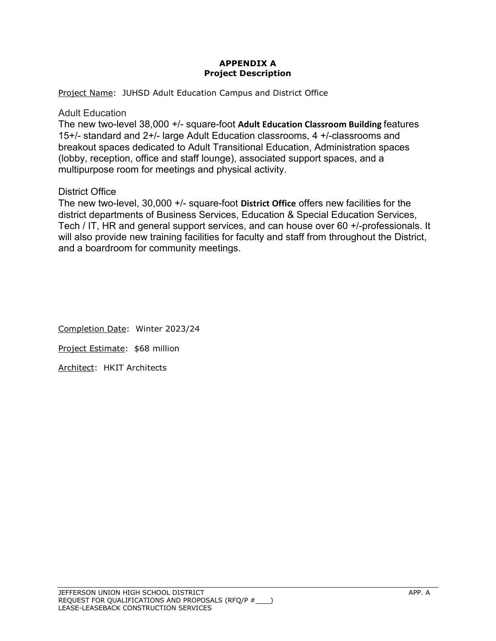### **APPENDIX A Project Description**

Project Name: JUHSD Adult Education Campus and District Office

### Adult Education

The new two-level 38,000 +/- square-foot **Adult Education Classroom Building** features 15+/- standard and 2+/- large Adult Education classrooms, 4 +/-classrooms and breakout spaces dedicated to Adult Transitional Education, Administration spaces (lobby, reception, office and staff lounge), associated support spaces, and a multipurpose room for meetings and physical activity.

## District Office

The new two-level, 30,000 +/- square-foot **District Office** offers new facilities for the district departments of Business Services, Education & Special Education Services, Tech / IT, HR and general support services, and can house over 60 +/-professionals. It will also provide new training facilities for faculty and staff from throughout the District, and a boardroom for community meetings.

Completion Date: Winter 2023/24 Project Estimate: \$68 million Architect: HKIT Architects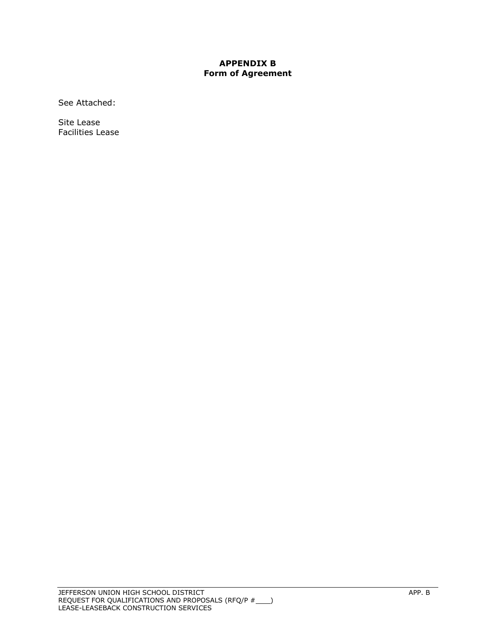#### **APPENDIX B Form of Agreement**

See Attached:

Site Lease Facilities Lease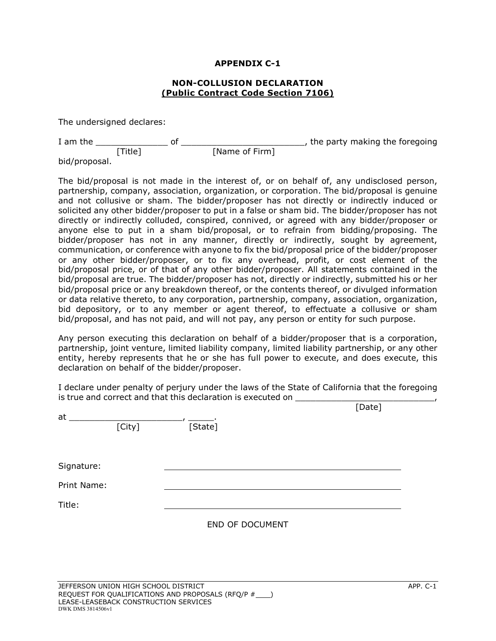#### **NON-COLLUSION DECLARATION (Public Contract Code Section 7106)**

The undersigned declares:

| I am the |        |                | the party making the foregoing |
|----------|--------|----------------|--------------------------------|
|          | Title1 | [Name of Firm] |                                |

bid/proposal.

The bid/proposal is not made in the interest of, or on behalf of, any undisclosed person, partnership, company, association, organization, or corporation. The bid/proposal is genuine and not collusive or sham. The bidder/proposer has not directly or indirectly induced or solicited any other bidder/proposer to put in a false or sham bid. The bidder/proposer has not directly or indirectly colluded, conspired, connived, or agreed with any bidder/proposer or anyone else to put in a sham bid/proposal, or to refrain from bidding/proposing. The bidder/proposer has not in any manner, directly or indirectly, sought by agreement, communication, or conference with anyone to fix the bid/proposal price of the bidder/proposer or any other bidder/proposer, or to fix any overhead, profit, or cost element of the bid/proposal price, or of that of any other bidder/proposer. All statements contained in the bid/proposal are true. The bidder/proposer has not, directly or indirectly, submitted his or her bid/proposal price or any breakdown thereof, or the contents thereof, or divulged information or data relative thereto, to any corporation, partnership, company, association, organization, bid depository, or to any member or agent thereof, to effectuate a collusive or sham bid/proposal, and has not paid, and will not pay, any person or entity for such purpose.

Any person executing this declaration on behalf of a bidder/proposer that is a corporation, partnership, joint venture, limited liability company, limited liability partnership, or any other entity, hereby represents that he or she has full power to execute, and does execute, this declaration on behalf of the bidder/proposer.

I declare under penalty of perjury under the laws of the State of California that the foregoing is true and correct and that this declaration is executed on \_\_\_\_\_\_\_\_\_\_\_\_\_\_\_\_\_\_\_\_

|         |        | [Date]          |
|---------|--------|-----------------|
| [State] |        |                 |
|         |        |                 |
|         |        |                 |
|         |        |                 |
|         |        |                 |
|         |        |                 |
|         | [City] | END OF DOCUMENT |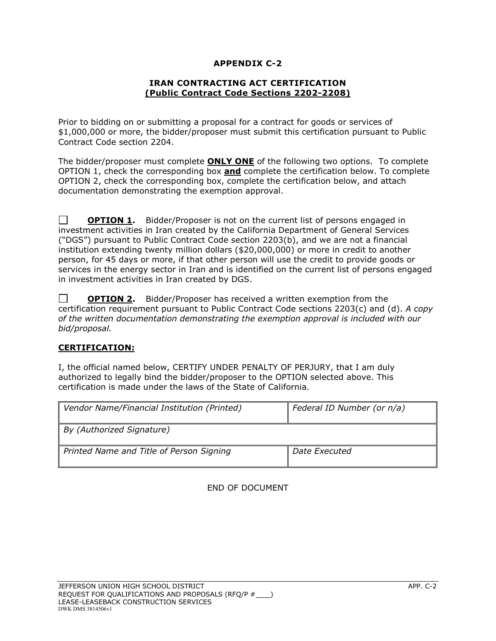#### **IRAN CONTRACTING ACT CERTIFICATION (Public Contract Code Sections 2202-2208)**

Prior to bidding on or submitting a proposal for a contract for goods or services of \$1,000,000 or more, the bidder/proposer must submit this certification pursuant to Public Contract Code section 2204.

The bidder/proposer must complete **ONLY ONE** of the following two options. To complete OPTION 1, check the corresponding box **and** complete the certification below. To complete OPTION 2, check the corresponding box, complete the certification below, and attach documentation demonstrating the exemption approval.

 $\Box$ **OPTION 1.** Bidder/Proposer is not on the current list of persons engaged in investment activities in Iran created by the California Department of General Services ("DGS") pursuant to Public Contract Code section 2203(b), and we are not a financial institution extending twenty million dollars (\$20,000,000) or more in credit to another person, for 45 days or more, if that other person will use the credit to provide goods or services in the energy sector in Iran and is identified on the current list of persons engaged in investment activities in Iran created by DGS.

 $\Box$ **OPTION 2.** Bidder/Proposer has received a written exemption from the certification requirement pursuant to Public Contract Code sections 2203(c) and (d). *A copy of the written documentation demonstrating the exemption approval is included with our bid/proposal.* 

### **CERTIFICATION:**

I, the official named below, CERTIFY UNDER PENALTY OF PERJURY, that I am duly authorized to legally bind the bidder/proposer to the OPTION selected above. This certification is made under the laws of the State of California.

| Vendor Name/Financial Institution (Printed) | Federal ID Number (or n/a) |
|---------------------------------------------|----------------------------|
| By (Authorized Signature)                   |                            |
| Printed Name and Title of Person Signing    | Date Executed              |

END OF DOCUMENT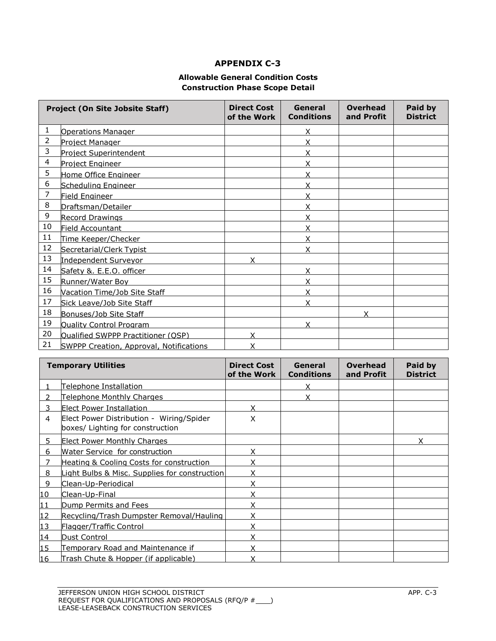#### **Allowable General Condition Costs Construction Phase Scope Detail**

| <b>Project (On Site Jobsite Staff)</b> |                                                | <b>Direct Cost</b><br>of the Work | General<br><b>Conditions</b> | <b>Overhead</b><br>and Profit | Paid by<br><b>District</b> |
|----------------------------------------|------------------------------------------------|-----------------------------------|------------------------------|-------------------------------|----------------------------|
| 1                                      | <b>Operations Manager</b>                      |                                   | x                            |                               |                            |
| $\overline{2}$                         | Project Manager                                |                                   | Χ                            |                               |                            |
| 3                                      | <b>Project Superintendent</b>                  |                                   | Χ                            |                               |                            |
| 4                                      | Project Engineer                               |                                   | Χ                            |                               |                            |
| 5                                      | Home Office Engineer                           |                                   | Χ                            |                               |                            |
| 6                                      | Scheduling Engineer                            |                                   | Χ                            |                               |                            |
| 7                                      | Field Engineer                                 |                                   | Χ                            |                               |                            |
| 8                                      | Draftsman/Detailer                             |                                   | Χ                            |                               |                            |
| 9                                      | <b>Record Drawings</b>                         |                                   | x                            |                               |                            |
| 10                                     | Field Accountant                               |                                   | Χ                            |                               |                            |
| 11                                     | Time Keeper/Checker                            |                                   | Χ                            |                               |                            |
| 12                                     | Secretarial/Clerk Typist                       |                                   |                              |                               |                            |
| 13                                     | <b>Independent Surveyor</b>                    |                                   |                              |                               |                            |
| 14                                     | Safety &. E.E.O. officer                       |                                   | x                            |                               |                            |
| 15                                     | Runner/Water Boy                               |                                   | Χ                            |                               |                            |
| 16                                     | <b>Vacation Time/Job Site Staff</b>            |                                   |                              |                               |                            |
| 17                                     | Sick Leave/Job Site Staff                      |                                   | Χ                            |                               |                            |
| 18                                     | Bonuses/Job Site Staff                         |                                   |                              | x                             |                            |
| 19                                     | <b>Quality Control Program</b>                 |                                   | x                            |                               |                            |
| 20                                     | Qualified SWPPP Practitioner (OSP)             | x                                 |                              |                               |                            |
| 21                                     | <b>SWPPP Creation, Approval, Notifications</b> | Χ                                 |                              |                               |                            |

| <b>Temporary Utilities</b> |                                                                              | <b>Direct Cost</b><br>of the Work | General<br><b>Conditions</b> | <b>Overhead</b><br>and Profit | Paid by<br><b>District</b> |
|----------------------------|------------------------------------------------------------------------------|-----------------------------------|------------------------------|-------------------------------|----------------------------|
|                            | <u>Telephone Installation</u>                                                |                                   |                              |                               |                            |
| $\mathcal{P}$              | <u>Telephone Monthly Charges</u>                                             |                                   |                              |                               |                            |
| 3                          | Elect Power Installation                                                     | Χ                                 |                              |                               |                            |
| $\overline{4}$             | Elect Power Distribution - Wiring/Spider<br>boxes/ Lighting for construction | Χ                                 |                              |                               |                            |
| 5.                         | <b>Elect Power Monthly Charges</b>                                           |                                   |                              |                               | x                          |
| 6                          | <b>Water Service for construction</b>                                        | x                                 |                              |                               |                            |
|                            | Heating & Cooling Costs for construction                                     |                                   |                              |                               |                            |
| 8                          | ight Bulbs & Misc. Supplies for construction                                 |                                   |                              |                               |                            |
| 9                          | Clean-Up-Periodical                                                          | χ                                 |                              |                               |                            |
| 10                         | Clean-Up-Final                                                               | Χ                                 |                              |                               |                            |
| 11                         | Dump Permits and Fees                                                        | Χ                                 |                              |                               |                            |
| 12                         | Recycling/Trash Dumpster Removal/Hauling                                     | χ                                 |                              |                               |                            |
| 13                         | Flagger/Traffic Control                                                      | Χ                                 |                              |                               |                            |
| 14                         | Dust Control                                                                 | χ                                 |                              |                               |                            |
| 15                         | Temporary Road and Maintenance if                                            |                                   |                              |                               |                            |
| 16                         | Trash Chute & Hopper (if applicable)                                         |                                   |                              |                               |                            |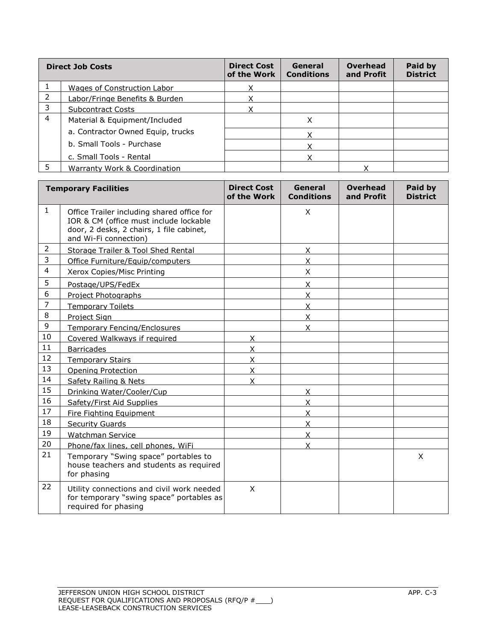|   | <b>Direct Job Costs</b>           | <b>Direct Cost</b><br>of the Work | General<br><b>Conditions</b> | Overhead<br>and Profit | Paid by<br><b>District</b> |
|---|-----------------------------------|-----------------------------------|------------------------------|------------------------|----------------------------|
|   | Wages of Construction Labor       | v                                 |                              |                        |                            |
| 2 | Labor/Fringe Benefits & Burden    |                                   |                              |                        |                            |
| 3 | <b>Subcontract Costs</b>          | v                                 |                              |                        |                            |
| 4 | Material & Equipment/Included     |                                   | Χ                            |                        |                            |
|   | a. Contractor Owned Equip, trucks |                                   |                              |                        |                            |
|   | b. Small Tools - Purchase         |                                   |                              |                        |                            |
|   | c. Small Tools - Rental           |                                   |                              |                        |                            |
|   | Warranty Work & Coordination      |                                   |                              |                        |                            |

|                | <b>Temporary Facilities</b>                                                                                                                               | <b>Direct Cost</b><br>of the Work | General<br><b>Conditions</b> | <b>Overhead</b><br>and Profit | Paid by<br><b>District</b> |
|----------------|-----------------------------------------------------------------------------------------------------------------------------------------------------------|-----------------------------------|------------------------------|-------------------------------|----------------------------|
| $\mathbf{1}$   | Office Trailer including shared office for<br>IOR & CM (office must include lockable<br>door, 2 desks, 2 chairs, 1 file cabinet,<br>and Wi-Fi connection) |                                   | X                            |                               |                            |
| $\overline{2}$ | Storage Trailer & Tool Shed Rental                                                                                                                        |                                   | X                            |                               |                            |
| 3              | Office Furniture/Equip/computers                                                                                                                          |                                   | X                            |                               |                            |
| 4              | Xerox Copies/Misc Printing                                                                                                                                |                                   | X                            |                               |                            |
| 5              | Postage/UPS/FedEx                                                                                                                                         |                                   | X.                           |                               |                            |
| 6              | Project Photographs                                                                                                                                       |                                   | X                            |                               |                            |
| $\overline{7}$ | <b>Temporary Toilets</b>                                                                                                                                  |                                   | X                            |                               |                            |
| 8              | Project Sign                                                                                                                                              |                                   | X.                           |                               |                            |
| 9              | <b>Temporary Fencing/Enclosures</b>                                                                                                                       |                                   | $\overline{\mathsf{x}}$      |                               |                            |
| 10             | Covered Walkways if required                                                                                                                              | X                                 |                              |                               |                            |
| 11             | <b>Barricades</b>                                                                                                                                         | $\mathsf{X}$                      |                              |                               |                            |
| 12             | <b>Temporary Stairs</b>                                                                                                                                   | $\mathsf{X}$                      |                              |                               |                            |
| 13             | <b>Opening Protection</b>                                                                                                                                 | $\mathsf{X}$                      |                              |                               |                            |
| 14             | Safety Railing & Nets                                                                                                                                     | X                                 |                              |                               |                            |
| 15             | Drinking Water/Cooler/Cup                                                                                                                                 |                                   | X                            |                               |                            |
| 16             | Safety/First Aid Supplies                                                                                                                                 |                                   | X                            |                               |                            |
| 17             | Fire Fighting Equipment                                                                                                                                   |                                   | X                            |                               |                            |
| 18             | <b>Security Guards</b>                                                                                                                                    |                                   | $\overline{\mathsf{X}}$      |                               |                            |
| 19             | <b>Watchman Service</b>                                                                                                                                   |                                   | X                            |                               |                            |
| 20             | Phone/fax lines, cell phones, WiFi                                                                                                                        |                                   | X                            |                               |                            |
| 21             | Temporary "Swing space" portables to<br>house teachers and students as required<br>for phasing                                                            |                                   |                              |                               | X                          |
| 22             | Utility connections and civil work needed<br>for temporary "swing space" portables as<br>required for phasing                                             | X                                 |                              |                               |                            |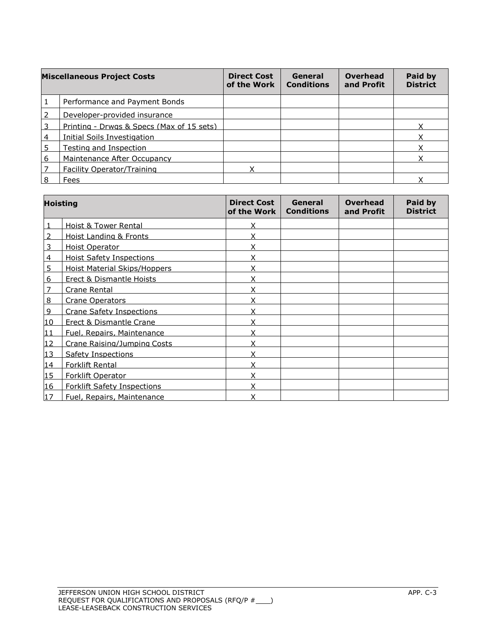|                | <b>Miscellaneous Project Costs</b>        | <b>Direct Cost</b><br>of the Work | General<br><b>Conditions</b> | <b>Overhead</b><br>and Profit | Paid by<br><b>District</b> |
|----------------|-------------------------------------------|-----------------------------------|------------------------------|-------------------------------|----------------------------|
| 1              | Performance and Payment Bonds             |                                   |                              |                               |                            |
| $\overline{2}$ | Developer-provided insurance              |                                   |                              |                               |                            |
| 3              | Printing - Drwgs & Specs (Max of 15 sets) |                                   |                              |                               |                            |
| $\overline{4}$ | <b>Initial Soils Investigation</b>        |                                   |                              |                               |                            |
| 5              | Testing and Inspection                    |                                   |                              |                               |                            |
| 6              | Maintenance After Occupancy               |                                   |                              |                               |                            |
| 7              | <b>Facility Operator/Training</b>         |                                   |                              |                               |                            |
| 8              | Fees                                      |                                   |                              |                               |                            |

|                | <b>Hoisting</b>                     | <b>Direct Cost</b><br>of the Work | General<br><b>Conditions</b> | <b>Overhead</b><br>and Profit | Paid by<br><b>District</b> |
|----------------|-------------------------------------|-----------------------------------|------------------------------|-------------------------------|----------------------------|
|                | <b>Hoist &amp; Tower Rental</b>     | Χ                                 |                              |                               |                            |
| 2              | <b>Hoist Landing &amp; Fronts</b>   | X                                 |                              |                               |                            |
| 3              | <b>Hoist Operator</b>               | X                                 |                              |                               |                            |
| 4              | <b>Hoist Safety Inspections</b>     | X                                 |                              |                               |                            |
| 5              | <b>Hoist Material Skips/Hoppers</b> | X                                 |                              |                               |                            |
| 6              | <b>Erect &amp; Dismantle Hoists</b> | X                                 |                              |                               |                            |
| 7              | <b>Crane Rental</b>                 | χ                                 |                              |                               |                            |
| 8              | <b>Crane Operators</b>              | χ                                 |                              |                               |                            |
| $\overline{9}$ | <b>Crane Safety Inspections</b>     | χ                                 |                              |                               |                            |
| 10             | <b>Erect &amp; Dismantle Crane</b>  | Χ                                 |                              |                               |                            |
| 11             | Fuel, Repairs, Maintenance          | Χ                                 |                              |                               |                            |
| 12             | Crane Raising/Jumping Costs         | Χ                                 |                              |                               |                            |
| 13             | <b>Safety Inspections</b>           | χ                                 |                              |                               |                            |
| 14             | <b>Forklift Rental</b>              | χ                                 |                              |                               |                            |
| 15             | Forklift Operator                   | Χ                                 |                              |                               |                            |
| 16             | <b>Forklift Safety Inspections</b>  | X                                 |                              |                               |                            |
| 17             | Fuel, Repairs, Maintenance          | x                                 |                              |                               |                            |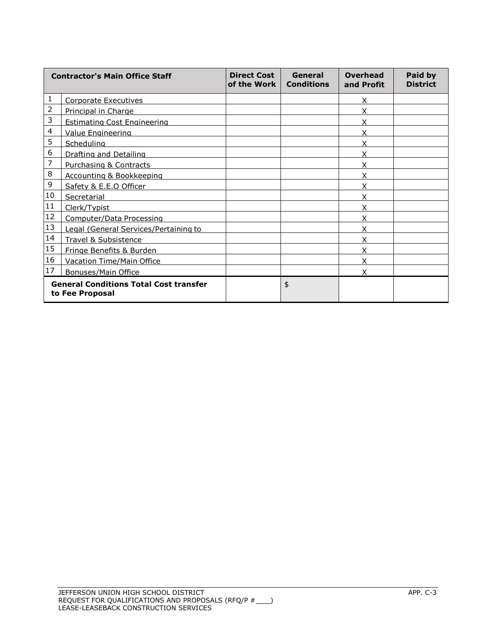| <b>Contractor's Main Office Staff</b>                            |                                       | <b>Direct Cost</b><br>of the Work | General<br><b>Conditions</b> | Overhead<br>and Profit | Paid by<br><b>District</b> |
|------------------------------------------------------------------|---------------------------------------|-----------------------------------|------------------------------|------------------------|----------------------------|
| 1                                                                | <b>Corporate Executives</b>           |                                   |                              | X                      |                            |
| 2                                                                | Principal in Charge                   |                                   |                              |                        |                            |
| 3                                                                | <b>Estimating Cost Engineering</b>    |                                   |                              |                        |                            |
| 4                                                                | <b>Value Engineering</b>              |                                   |                              | x                      |                            |
| 5                                                                | Scheduling                            |                                   |                              |                        |                            |
| 6                                                                | Drafting and Detailing                |                                   |                              | χ                      |                            |
| 7                                                                | <b>Purchasing &amp; Contracts</b>     |                                   |                              | X                      |                            |
| 8                                                                | Accounting & Bookkeeping              |                                   |                              | x                      |                            |
| 9                                                                | Safety & E.E.O Officer                |                                   |                              | X                      |                            |
| 10                                                               | Secretarial                           |                                   |                              |                        |                            |
| $11\,$                                                           | Clerk/Typist                          |                                   |                              | x                      |                            |
| 12                                                               | Computer/Data Processing              |                                   |                              |                        |                            |
| 13                                                               | Legal (General Services/Pertaining to |                                   |                              | x                      |                            |
| $14\,$                                                           | Travel & Subsistence                  |                                   |                              | Χ                      |                            |
| 15                                                               | Fringe Benefits & Burden              |                                   |                              | x                      |                            |
| 16                                                               | <b>Vacation Time/Main Office</b>      |                                   |                              | X                      |                            |
| 17                                                               | <b>Bonuses/Main Office</b>            |                                   |                              | X                      |                            |
| <b>General Conditions Total Cost transfer</b><br>to Fee Proposal |                                       |                                   | \$                           |                        |                            |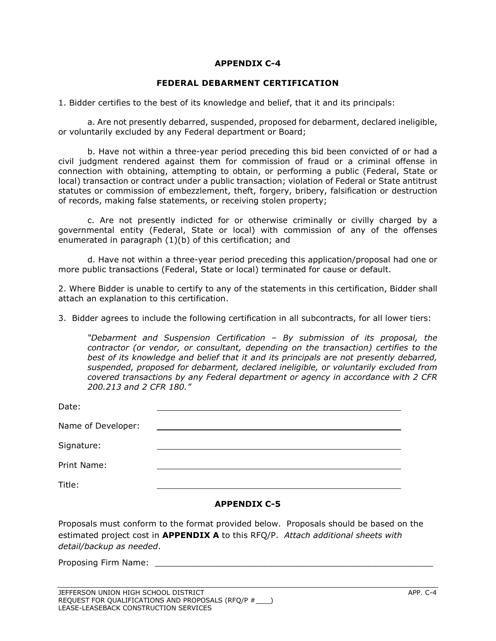#### **FEDERAL DEBARMENT CERTIFICATION**

1. Bidder certifies to the best of its knowledge and belief, that it and its principals:

a. Are not presently debarred, suspended, proposed for debarment, declared ineligible, or voluntarily excluded by any Federal department or Board;

b. Have not within a three-year period preceding this bid been convicted of or had a civil judgment rendered against them for commission of fraud or a criminal offense in connection with obtaining, attempting to obtain, or performing a public (Federal, State or local) transaction or contract under a public transaction; violation of Federal or State antitrust statutes or commission of embezzlement, theft, forgery, bribery, falsification or destruction of records, making false statements, or receiving stolen property;

c. Are not presently indicted for or otherwise criminally or civilly charged by a governmental entity (Federal, State or local) with commission of any of the offenses enumerated in paragraph (1)(b) of this certification; and

d. Have not within a three-year period preceding this application/proposal had one or more public transactions (Federal, State or local) terminated for cause or default.

2. Where Bidder is unable to certify to any of the statements in this certification, Bidder shall attach an explanation to this certification.

3. Bidder agrees to include the following certification in all subcontracts, for all lower tiers:

*"Debarment and Suspension Certification – By submission of its proposal, the contractor (or vendor, or consultant, depending on the transaction) certifies to the best of its knowledge and belief that it and its principals are not presently debarred, suspended, proposed for debarment, declared ineligible, or voluntarily excluded from covered transactions by any Federal department or agency in accordance with 2 CFR 200.213 and 2 CFR 180."*

| Date:              |  |
|--------------------|--|
| Name of Developer: |  |
| Signature:         |  |
| Print Name:        |  |
| Title:             |  |

#### **APPENDIX C-5**

Proposals must conform to the format provided below. Proposals should be based on the estimated project cost in **APPENDIX A** to this RFQ/P. *Attach additional sheets with detail/backup as needed*.

Proposing Firm Name: \_\_\_\_\_\_\_\_\_\_\_\_\_\_\_\_\_\_\_\_\_\_\_\_\_\_\_\_\_\_\_\_\_\_\_\_\_\_\_\_\_\_\_\_\_\_\_\_\_\_\_\_\_\_